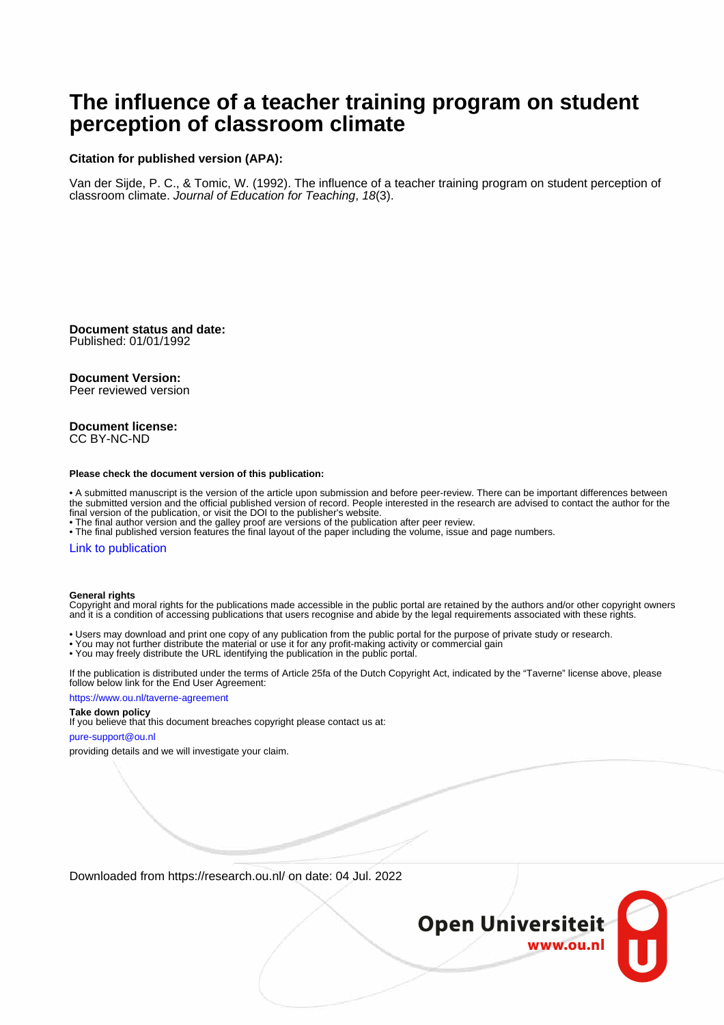## **The influence of a teacher training program on student perception of classroom climate**

## **Citation for published version (APA):**

Van der Sijde, P. C., & Tomic, W. (1992). The influence of a teacher training program on student perception of classroom climate. Journal of Education for Teaching, 18(3).

**Document status and date:** Published: 01/01/1992

#### **Document Version:**

Peer reviewed version

#### **Document license:** CC BY-NC-ND

#### **Please check the document version of this publication:**

• A submitted manuscript is the version of the article upon submission and before peer-review. There can be important differences between the submitted version and the official published version of record. People interested in the research are advised to contact the author for the final version of the publication, or visit the DOI to the publisher's website.

• The final author version and the galley proof are versions of the publication after peer review.

• The final published version features the final layout of the paper including the volume, issue and page numbers.

#### [Link to publication](https://research.ou.nl/en/publications/05a4539f-7fe8-4b87-bc09-38b5e617e4ad)

#### **General rights**

Copyright and moral rights for the publications made accessible in the public portal are retained by the authors and/or other copyright owners and it is a condition of accessing publications that users recognise and abide by the legal requirements associated with these rights.

- Users may download and print one copy of any publication from the public portal for the purpose of private study or research.
- You may not further distribute the material or use it for any profit-making activity or commercial gain
- You may freely distribute the URL identifying the publication in the public portal.

If the publication is distributed under the terms of Article 25fa of the Dutch Copyright Act, indicated by the "Taverne" license above, please follow below link for the End User Agreement:

#### https://www.ou.nl/taverne-agreement

## **Take down policy**

If you believe that this document breaches copyright please contact us at:

#### pure-support@ou.nl

providing details and we will investigate your claim.

Downloaded from https://research.ou.nl/ on date: 04 Jul. 2022

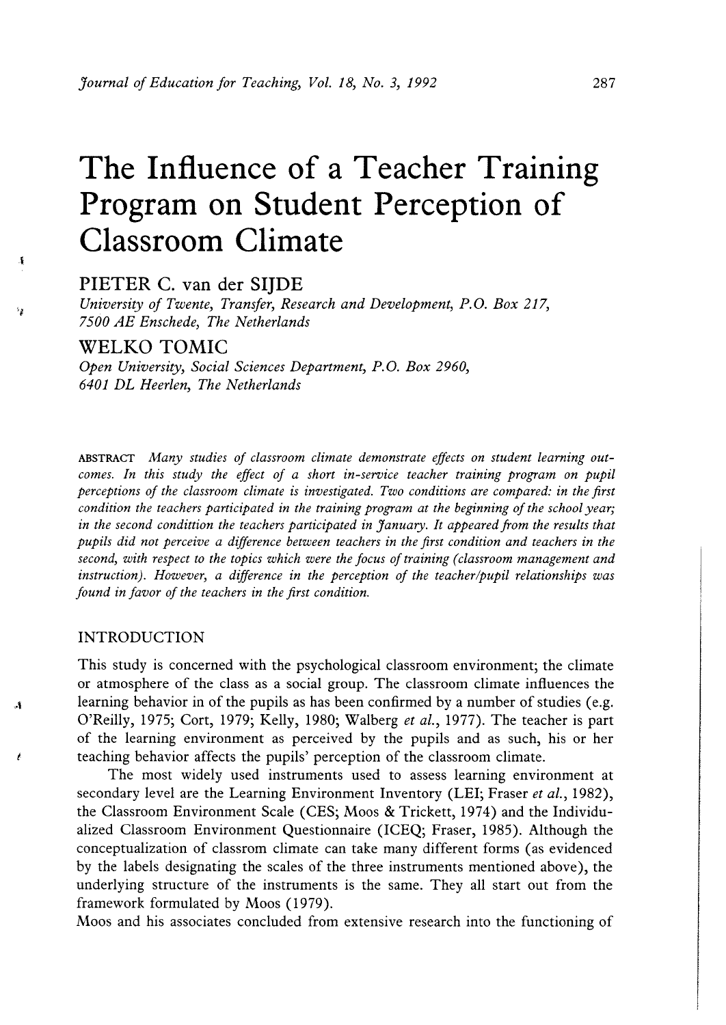# The Influence of a Teacher Training Program on Student Perception of **Classroom Climate**

PIETER C. van der SIJDE

University of Twente, Transfer, Research and Development, P.O. Box 217, 7500 AE Enschede, The Netherlands

## **WELKO TOMIC**

\$

Open University, Social Sciences Department, P.O. Box 2960, 6401 DL Heerlen, The Netherlands

ABSTRACT Many studies of classroom climate demonstrate effects on student learning outcomes. In this study the effect of a short in-service teacher training program on pupil perceptions of the classroom climate is investigated. Two conditions are compared: in the first condition the teachers participated in the training program at the beginning of the school year; in the second condittion the teachers participated in January. It appeared from the results that pupils did not perceive a difference between teachers in the first condition and teachers in the second, with respect to the topics which were the focus of training (classroom management and instruction). However, a difference in the perception of the teacher/pupil relationships was found in favor of the teachers in the first condition.

#### **INTRODUCTION**

This study is concerned with the psychological classroom environment; the climate or atmosphere of the class as a social group. The classroom climate influences the learning behavior in of the pupils as has been confirmed by a number of studies (e.g. O'Reilly, 1975; Cort, 1979; Kelly, 1980; Walberg et al., 1977). The teacher is part of the learning environment as perceived by the pupils and as such, his or her teaching behavior affects the pupils' perception of the classroom climate.

The most widely used instruments used to assess learning environment at secondary level are the Learning Environment Inventory (LEI; Fraser et al., 1982), the Classroom Environment Scale (CES; Moos & Trickett, 1974) and the Individualized Classroom Environment Questionnaire (ICEQ; Fraser, 1985). Although the conceptualization of classrom climate can take many different forms (as evidenced by the labels designating the scales of the three instruments mentioned above), the underlying structure of the instruments is the same. They all start out from the framework formulated by Moos (1979).

Moos and his associates concluded from extensive research into the functioning of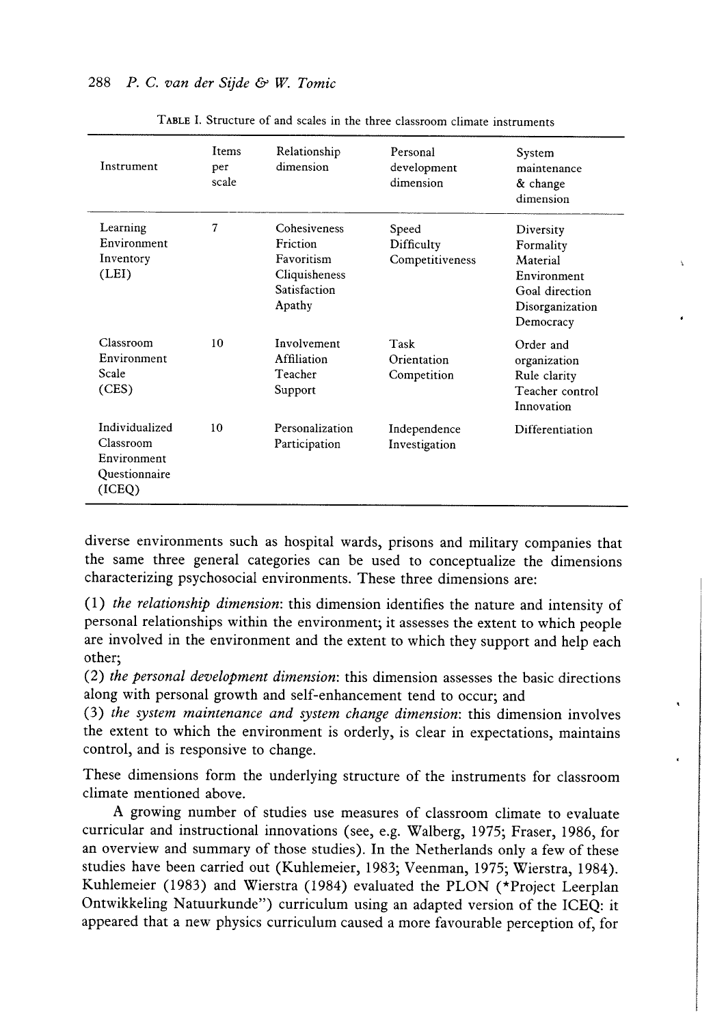| Instrument                                                            | Items<br>per<br>scale | Relationship<br>dimension                                                         | Personal<br>development<br>dimension   | System<br>maintenance<br>& change<br>dimension                                                      |
|-----------------------------------------------------------------------|-----------------------|-----------------------------------------------------------------------------------|----------------------------------------|-----------------------------------------------------------------------------------------------------|
| Learning<br>Environment<br>Inventory<br>(LEI)                         | 7                     | Cohesiveness<br>Friction<br>Favoritism<br>Cliquisheness<br>Satisfaction<br>Apathy | Speed<br>Difficulty<br>Competitiveness | Diversity<br>Formality<br>Material<br>Environment<br>Goal direction<br>Disorganization<br>Democracy |
| Classroom<br>Environment<br>Scale<br>(CES)                            | 10                    | Involvement<br>Affiliation<br>Teacher<br>Support                                  | Task<br>Orientation<br>Competition     | Order and<br>organization<br>Rule clarity<br>Teacher control<br>Innovation                          |
| Individualized<br>Classroom<br>Environment<br>Questionnaire<br>(ICEQ) | 10                    | Personalization<br>Participation                                                  | Independence<br>Investigation          | Differentiation                                                                                     |

TABLE I. Structure of and scales in the three classroom climate instruments

diverse environments such as hospital wards, prisons and military companies that the same three general categories can be used to conceptualize the dimensions characterizing psychosocial environments. These three dimensions are:

(1) the relationship dimension: this dimension identifies the nature and intensity of personal relationships within the environment; it assesses the extent to which people are involved in the environment and the extent to which they support and help each other;

(2) the personal development dimension: this dimension assesses the basic directions along with personal growth and self-enhancement tend to occur; and

(3) the system maintenance and system change dimension: this dimension involves the extent to which the environment is orderly, is clear in expectations, maintains control, and is responsive to change.

These dimensions form the underlying structure of the instruments for classroom climate mentioned above.

A growing number of studies use measures of classroom climate to evaluate curricular and instructional innovations (see, e.g. Walberg, 1975; Fraser, 1986, for an overview and summary of those studies). In the Netherlands only a few of these studies have been carried out (Kuhlemeier, 1983; Veenman, 1975; Wierstra, 1984). Kuhlemeier (1983) and Wierstra (1984) evaluated the PLON (\*Project Leerplan Ontwikkeling Natuurkunde") curriculum using an adapted version of the ICEQ: it appeared that a new physics curriculum caused a more favourable perception of, for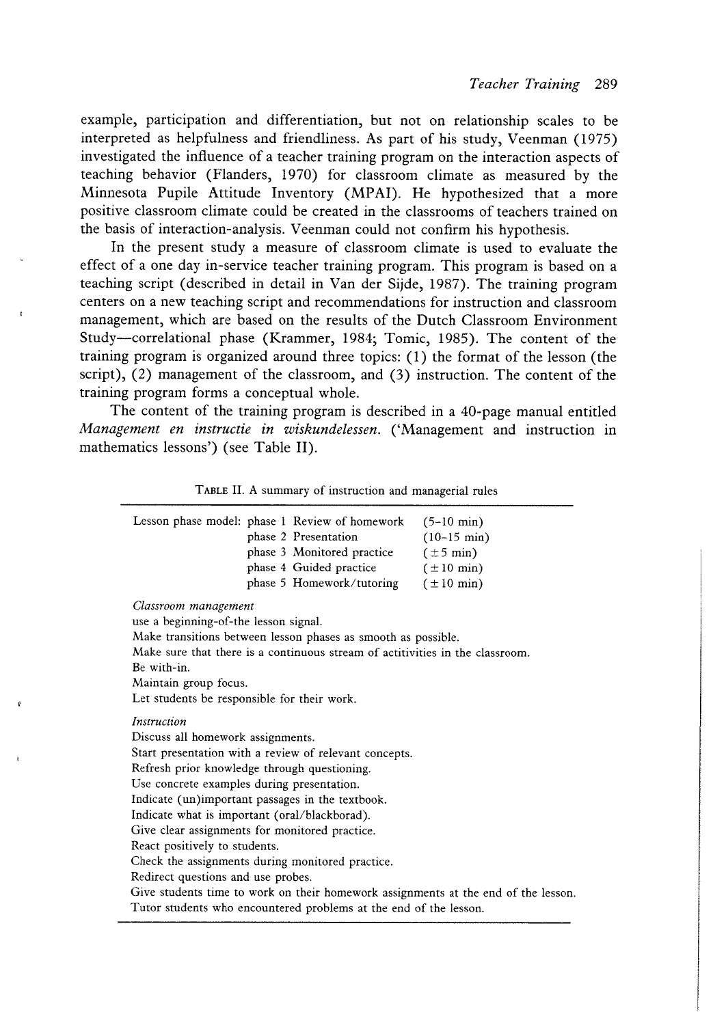example, participation and differentiation, but not on relationship scales to be interpreted as helpfulness and friendliness. As part of his study, Veenman (1975) investigated the influence of a teacher training program on the interaction aspects of teaching behavior (Flanders, 1970) for classroom climate as measured by the Minnesota Pupile Attitude Inventory (MPAI). He hypothesized that a more positive classroom climate could be created in the classrooms of teachers trained on the basis of interaction-analysis. Veenman could not confirm his hypothesis.

In the present study a measure of classroom climate is used to evaluate the effect of a one day in-service teacher training program. This program is based on a teaching script (described in detail in Van der Sijde, 1987). The training program centers on a new teaching script and recommendations for instruction and classroom management, which are based on the results of the Dutch Classroom Environment Study-correlational phase (Krammer, 1984; Tomic, 1985). The content of the training program is organized around three topics: (1) the format of the lesson (the script), (2) management of the classroom, and (3) instruction. The content of the training program forms a conceptual whole.

The content of the training program is described in a 40-page manual entitled Management en instructie in wiskundelessen. ('Management and instruction in mathematics lessons') (see Table II).

|                                                                                                                                                                                                                                                                                                                                                                                                                                                                                                                                                                 |                                                 | rable 11. A summary or mstruction and manageriar ruics  |                                                                                                                    |
|-----------------------------------------------------------------------------------------------------------------------------------------------------------------------------------------------------------------------------------------------------------------------------------------------------------------------------------------------------------------------------------------------------------------------------------------------------------------------------------------------------------------------------------------------------------------|-------------------------------------------------|---------------------------------------------------------|--------------------------------------------------------------------------------------------------------------------|
| Lesson phase model: phase 1 Review of homework                                                                                                                                                                                                                                                                                                                                                                                                                                                                                                                  | phase 2 Presentation<br>phase 4 Guided practice | phase 3 Monitored practice<br>phase 5 Homework/tutoring | $(5-10 \text{ min})$<br>$(10-15 \text{ min})$<br>$(\pm 5$ min)<br>$(\pm 10 \text{ min})$<br>$(\pm 10 \text{ min})$ |
| Classroom management<br>use a beginning-of-the lesson signal.<br>Make transitions between lesson phases as smooth as possible.<br>Be with-in.<br>Maintain group focus.<br>Let students be responsible for their work.                                                                                                                                                                                                                                                                                                                                           |                                                 |                                                         | Make sure that there is a continuous stream of actitivities in the classroom.                                      |
| Instruction<br>Discuss all homework assignments.<br>Start presentation with a review of relevant concepts.<br>Refresh prior knowledge through questioning.<br>Use concrete examples during presentation.<br>Indicate (un)important passages in the textbook.<br>Indicate what is important (oral/blackborad).<br>Give clear assignments for monitored practice.<br>React positively to students.<br>Check the assignments during monitored practice.<br>Redirect questions and use probes.<br>Tutor students who encountered problems at the end of the lesson. |                                                 |                                                         | Give students time to work on their homework assignments at the end of the lesson.                                 |

TABLE II. A summary of instruction and managerial rules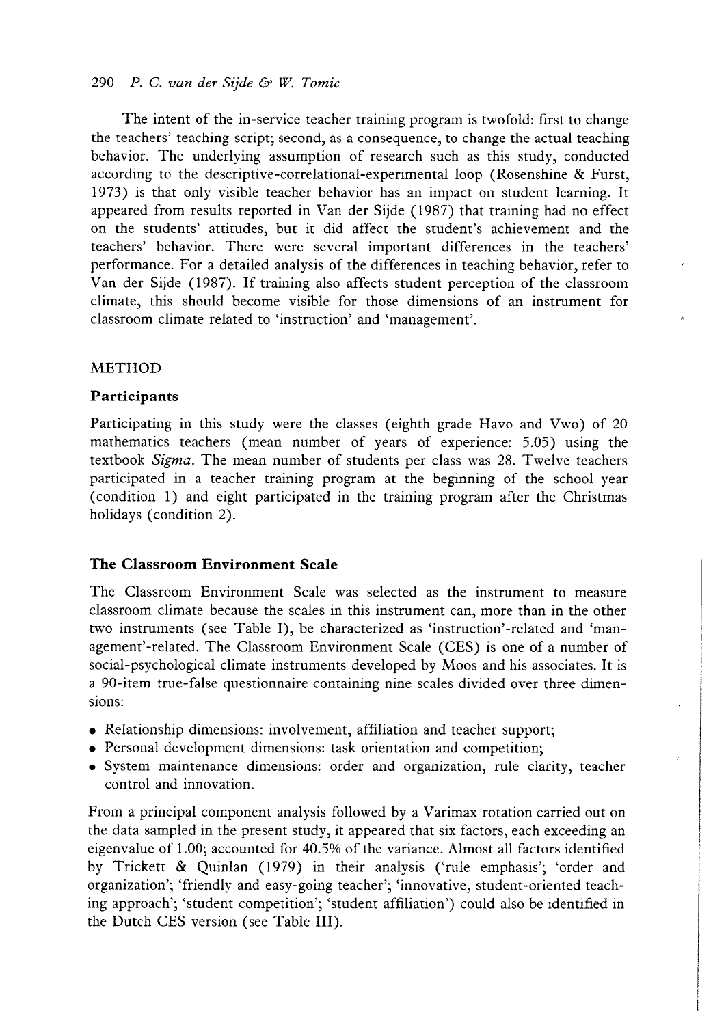## 290 P. C. van der Sijde & W. Tomic

The intent of the in-service teacher training program is twofold: first to change the teachers' teaching script; second, as a consequence, to change the actual teaching behavior. The underlying assumption of research such as this study, conducted according to the descriptive-correlational-experimental loop (Rosenshine & Furst, 1973) is that only visible teacher behavior has an impact on student learning. It appeared from results reported in Van der Sijde (1987) that training had no effect on the students' attitudes, but it did affect the student's achievement and the teachers' behavior. There were several important differences in the teachers' performance. For a detailed analysis of the differences in teaching behavior, refer to Van der Sijde (1987). If training also affects student perception of the classroom climate, this should become visible for those dimensions of an instrument for classroom climate related to 'instruction' and 'management'.

## **METHOD**

## Participants

Participating in this study were the classes (eighth grade Havo and Vwo) of 20 mathematics teachers (mean number of years of experience: 5.05) using the textbook Sigma. The mean number of students per class was 28. Twelve teachers participated in a teacher training program at the beginning of the school year (condition 1) and eight participated in the training program after the Christmas holidays (condition 2).

## The Classroom Environment Scale

The Classroom Environment Scale was selected as the instrument to measure classroom climate because the scales in this instrument can, more than in the other two instruments (see Table I), be characterized as 'instruction'-related and 'management'-related. The Classroom Environment Scale (CES) is one of a number of social-psychological climate instruments developed by Moos and his associates. It is a 90-item true-false questionnaire containing nine scales divided over three dimensions:

- Relationship dimensions: involvement, affiliation and teacher support;
- Personal development dimensions: task orientation and competition;
- · System maintenance dimensions: order and organization, rule clarity, teacher control and innovation.

From a principal component analysis followed by a Varimax rotation carried out on the data sampled in the present study, it appeared that six factors, each exceeding an eigenvalue of 1.00; accounted for 40.5% of the variance. Almost all factors identified by Trickett & Quinlan (1979) in their analysis ('rule emphasis'; 'order and organization'; 'friendly and easy-going teacher'; 'innovative, student-oriented teaching approach'; 'student competition'; 'student affiliation') could also be identified in the Dutch CES version (see Table III).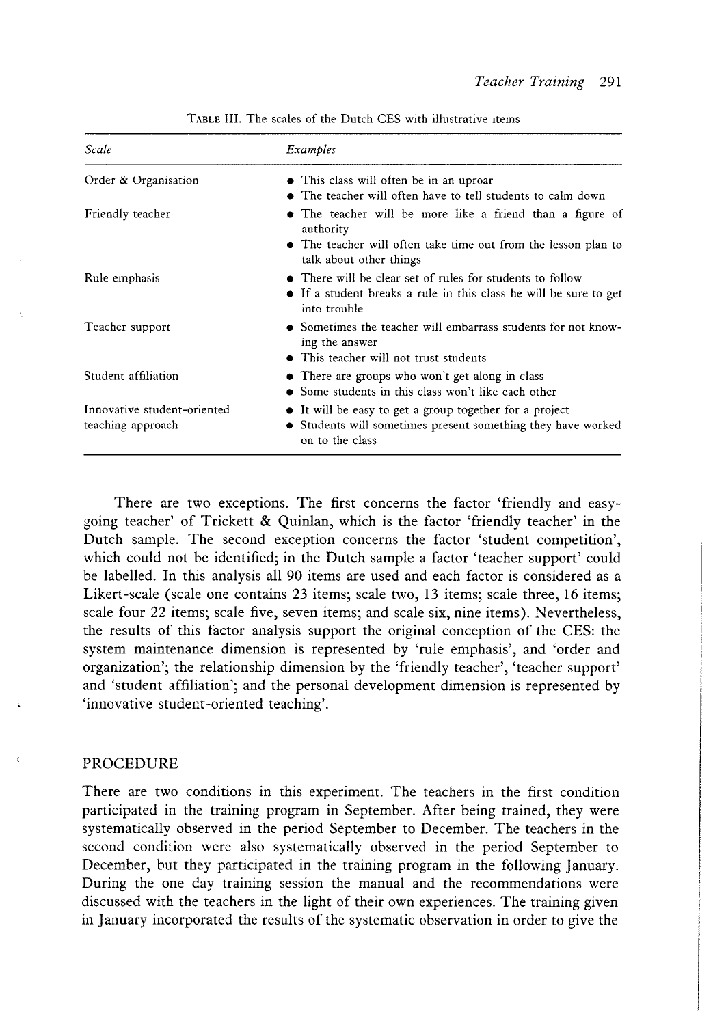| Scale                                            | Examples                                                                                                                                       |  |  |
|--------------------------------------------------|------------------------------------------------------------------------------------------------------------------------------------------------|--|--|
| Order & Organisation                             | • This class will often be in an uproar<br>• The teacher will often have to tell students to calm down                                         |  |  |
| Friendly teacher                                 | • The teacher will be more like a friend than a figure of<br>authority                                                                         |  |  |
|                                                  | • The teacher will often take time out from the lesson plan to<br>talk about other things                                                      |  |  |
| Rule emphasis                                    | • There will be clear set of rules for students to follow<br>• If a student breaks a rule in this class he will be sure to get<br>into trouble |  |  |
| Teacher support                                  | • Sometimes the teacher will embarrass students for not know-<br>ing the answer<br>• This teacher will not trust students                      |  |  |
| Student affiliation                              | • There are groups who won't get along in class<br>• Some students in this class won't like each other                                         |  |  |
| Innovative student-oriented<br>teaching approach | • It will be easy to get a group together for a project<br>• Students will sometimes present something they have worked<br>on to the class     |  |  |

TABLE III. The scales of the Dutch CES with illustrative items

There are two exceptions. The first concerns the factor 'friendly and easygoing teacher' of Trickett & Quinlan, which is the factor 'friendly teacher' in the Dutch sample. The second exception concerns the factor 'student competition', which could not be identified; in the Dutch sample a factor 'teacher support' could be labelled. In this analysis all 90 items are used and each factor is considered as a Likert-scale (scale one contains 23 items; scale two, 13 items; scale three, 16 items; scale four 22 items; scale five, seven items; and scale six, nine items). Nevertheless, the results of this factor analysis support the original conception of the CES: the system maintenance dimension is represented by 'rule emphasis', and 'order and organization'; the relationship dimension by the 'friendly teacher', 'teacher support' and 'student affiliation'; and the personal development dimension is represented by 'innovative student-oriented teaching'.

#### PROCEDURE

There are two conditions in this experiment. The teachers in the first condition participated in the training program in September. After being trained, they were systematically observed in the period September to December. The teachers in the second condition were also systematically observed in the period September to December, but they participated in the training program in the following January. During the one day training session the manual and the recommendations were discussed with the teachers in the light of their own experiences. The training given in January incorporated the results of the systematic observation in order to give the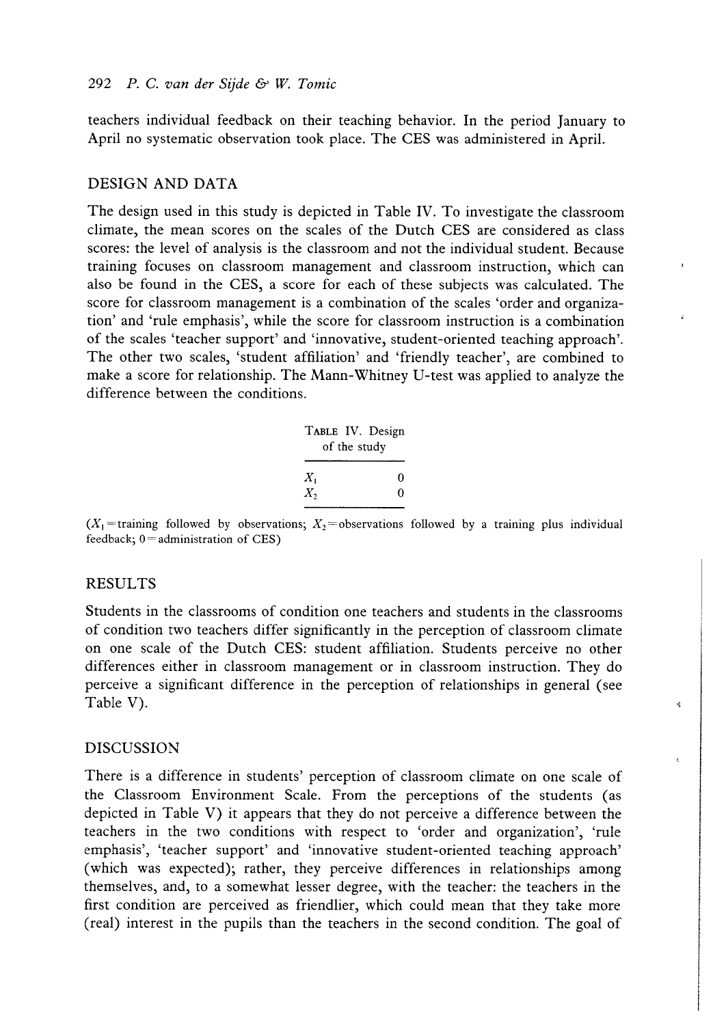teachers individual feedback on their teaching behavior. In the period January to April no systematic observation took place. The CES was administered in April.

## **DESIGN AND DATA**

The design used in this study is depicted in Table IV. To investigate the classroom climate, the mean scores on the scales of the Dutch CES are considered as class scores: the level of analysis is the classroom and not the individual student. Because training focuses on classroom management and classroom instruction, which can also be found in the CES, a score for each of these subjects was calculated. The score for classroom management is a combination of the scales 'order and organization' and 'rule emphasis', while the score for classroom instruction is a combination of the scales 'teacher support' and 'innovative, student-oriented teaching approach'. The other two scales, 'student affiliation' and 'friendly teacher', are combined to make a score for relationship. The Mann-Whitney U-test was applied to analyze the difference between the conditions.

| TABLE IV. Design<br>of the study |   |
|----------------------------------|---|
| X,                               | O |
| $X_{2}$                          | o |

 $(X_1$  = training followed by observations;  $X_2$  = observations followed by a training plus individual feedback; 0=administration of CES)

## **RESULTS**

Students in the classrooms of condition one teachers and students in the classrooms of condition two teachers differ significantly in the perception of classroom climate on one scale of the Dutch CES: student affiliation. Students perceive no other differences either in classroom management or in classroom instruction. They do perceive a significant difference in the perception of relationships in general (see Table V).

 $\mathbf{q}$ 

### **DISCUSSION**

There is a difference in students' perception of classroom climate on one scale of the Classroom Environment Scale. From the perceptions of the students (as depicted in Table V) it appears that they do not perceive a difference between the teachers in the two conditions with respect to 'order and organization', 'rule emphasis', 'teacher support' and 'innovative student-oriented teaching approach' (which was expected); rather, they perceive differences in relationships among themselves, and, to a somewhat lesser degree, with the teacher: the teachers in the first condition are perceived as friendlier, which could mean that they take more (real) interest in the pupils than the teachers in the second condition. The goal of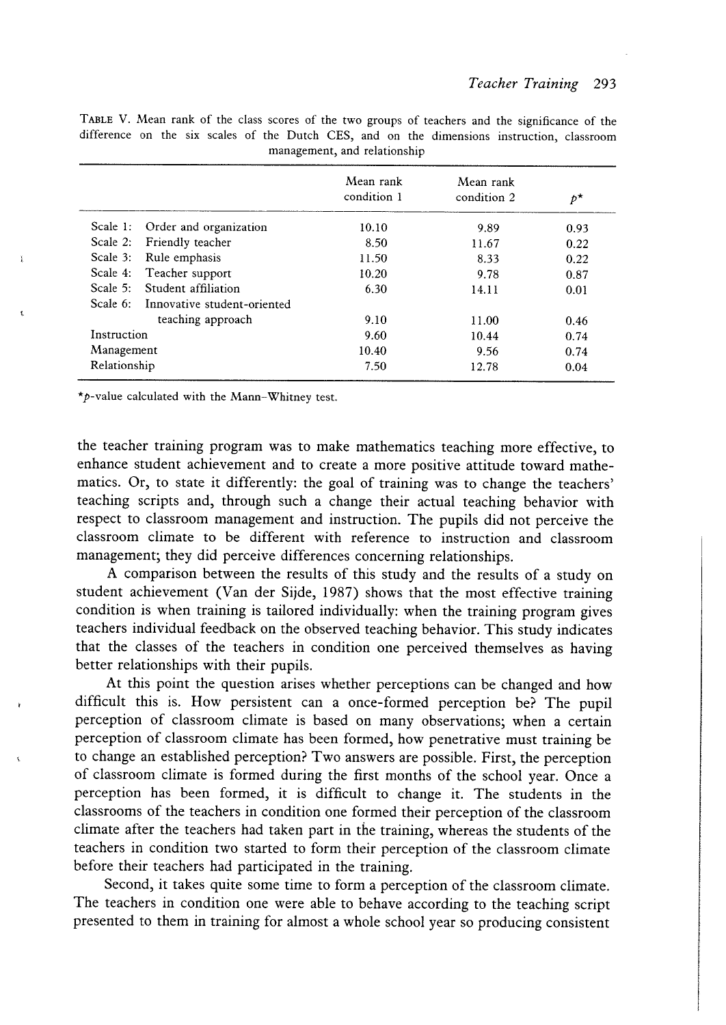|              |                             | Mean rank<br>condition 1 | Mean rank<br>condition 2 | $p^{\star}$ |
|--------------|-----------------------------|--------------------------|--------------------------|-------------|
| Scale $1:$   | Order and organization      | 10.10                    | 9.89                     | 0.93        |
| Scale $2$ :  | Friendly teacher            | 8.50                     | 11.67                    | 0.22        |
| Scale $3$ :  | Rule emphasis               | 11.50                    | 8.33                     | 0.22        |
| Scale 4:     | Teacher support             | 10.20                    | 9.78                     | 0.87        |
| Scale $5:$   | Student affiliation         | 6.30                     | 14.11                    | 0.01        |
| Scale 6:     | Innovative student-oriented |                          |                          |             |
|              | teaching approach           | 9.10                     | 11.00                    | 0.46        |
| Instruction  |                             | 9.60                     | 10.44                    | 0.74        |
| Management   |                             | 10.40                    | 9.56                     | 0.74        |
| Relationship |                             | 7.50                     | 12.78                    | 0.04        |

TABLE V. Mean rank of the class scores of the two groups of teachers and the significance of the difference on the six scales of the Dutch CES, and on the dimensions instruction, classroom management, and relationship

\*p-value calculated with the Mann-Whitney test.

the teacher training program was to make mathematics teaching more effective, to enhance student achievement and to create a more positive attitude toward mathematics. Or, to state it differently: the goal of training was to change the teachers' teaching scripts and, through such a change their actual teaching behavior with respect to classroom management and instruction. The pupils did not perceive the classroom climate to be different with reference to instruction and classroom management; they did perceive differences concerning relationships.

A comparison between the results of this study and the results of a study on student achievement (Van der Sijde, 1987) shows that the most effective training condition is when training is tailored individually: when the training program gives teachers individual feedback on the observed teaching behavior. This study indicates that the classes of the teachers in condition one perceived themselves as having better relationships with their pupils.

At this point the question arises whether perceptions can be changed and how difficult this is. How persistent can a once-formed perception be? The pupil perception of classroom climate is based on many observations; when a certain perception of classroom climate has been formed, how penetrative must training be to change an established perception? Two answers are possible. First, the perception of classroom climate is formed during the first months of the school year. Once a perception has been formed, it is difficult to change it. The students in the classrooms of the teachers in condition one formed their perception of the classroom climate after the teachers had taken part in the training, whereas the students of the teachers in condition two started to form their perception of the classroom climate before their teachers had participated in the training.

Second, it takes quite some time to form a perception of the classroom climate. The teachers in condition one were able to behave according to the teaching script presented to them in training for almost a whole school year so producing consistent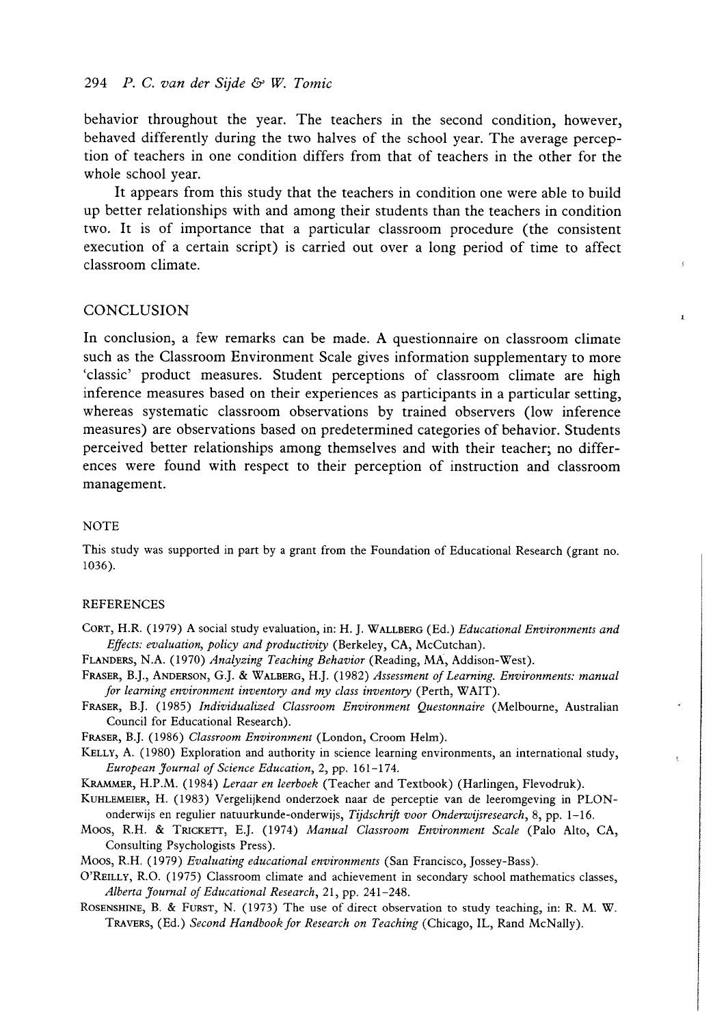#### 294 P. C. van der Sijde & W. Tomic

behavior throughout the year. The teachers in the second condition, however, behaved differently during the two halves of the school year. The average perception of teachers in one condition differs from that of teachers in the other for the whole school year.

It appears from this study that the teachers in condition one were able to build up better relationships with and among their students than the teachers in condition two. It is of importance that a particular classroom procedure (the consistent execution of a certain script) is carried out over a long period of time to affect classroom climate.

#### CONCLUSION

In conclusion, a few remarks can be made. A questionnaire on classroom climate such as the Classroom Environment Scale gives information supplementary to more 'classic' product measures. Student perceptions of classroom climate are high inference measures based on their experiences as participants in a particular setting, whereas systematic classroom observations by trained observers (low inference measures) are observations based on predetermined categories of behavior. Students perceived better relationships among themselves and with their teacher; no differences were found with respect to their perception of instruction and classroom management.

#### **NOTE**

This study was supported in part by a grant from the Foundation of Educational Research (grant no. 1036).

#### **REFERENCES**

- CORT, H.R. (1979) A social study evaluation, in: H. J. WALLBERG (Ed.) Educational Environments and Effects: evaluation, policy and productivity (Berkeley, CA, McCutchan).
- FLANDERS, N.A. (1970) Analyzing Teaching Behavior (Reading, MA, Addison-West).
- FRASER, B.J., ANDERSON, G.J. & WALBERG, H.J. (1982) Assessment of Learning. Environments: manual for learning environment inventory and my class inventory (Perth, WAIT).
- FRASER, B.J. (1985) Individualized Classroom Environment Questonnaire (Melbourne, Australian Council for Educational Research).
- FRASER, B.J. (1986) Classroom Environment (London, Croom Helm).
- KELLY, A. (1980) Exploration and authority in science learning environments, an international study, European Journal of Science Education, 2, pp. 161-174.

KRAMMER, H.P.M. (1984) Leraar en leerboek (Teacher and Textbook) (Harlingen, Flevodruk).

KUHLEMEIER, H. (1983) Vergelijkend onderzoek naar de perceptie van de leeromgeving in PLONonderwijs en regulier natuurkunde-onderwijs, Tijdschrift voor Onderwijsresearch, 8, pp. 1-16.

- MOOS, R.H. & TRICKETT, E.J. (1974) Manual Classroom Environment Scale (Palo Alto, CA, Consulting Psychologists Press).
- Moos, R.H. (1979) Evaluating educational environments (San Francisco, Jossey-Bass).
- O'REILLY, R.O. (1975) Classroom climate and achievement in secondary school mathematics classes, Alberta Journal of Educational Research, 21, pp. 241-248.
- ROSENSHINE, B. & FURST, N. (1973) The use of direct observation to study teaching, in: R. M. W. TRAVERS, (Ed.) Second Handbook for Research on Teaching (Chicago, IL, Rand McNally).